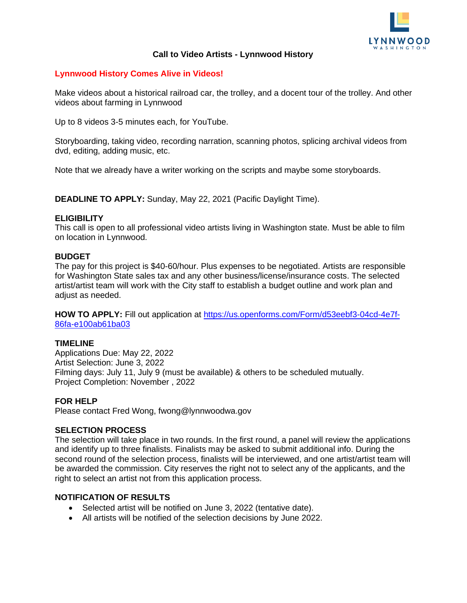

# **Call to Video Artists - Lynnwood History**

# **Lynnwood History Comes Alive in Videos!**

Make videos about a historical railroad car, the trolley, and a docent tour of the trolley. And other videos about farming in Lynnwood

Up to 8 videos 3-5 minutes each, for YouTube.

Storyboarding, taking video, recording narration, scanning photos, splicing archival videos from dvd, editing, adding music, etc.

Note that we already have a writer working on the scripts and maybe some storyboards.

**DEADLINE TO APPLY:** Sunday, May 22, 2021 (Pacific Daylight Time).

#### **ELIGIBILITY**

This call is open to all professional video artists living in Washington state. Must be able to film on location in Lynnwood.

#### **BUDGET**

The pay for this project is \$40-60/hour. Plus expenses to be negotiated. Artists are responsible for Washington State sales tax and any other business/license/insurance costs. The selected artist/artist team will work with the City staff to establish a budget outline and work plan and adiust as needed.

**HOW TO APPLY:** Fill out application at [https://us.openforms.com/Form/d53eebf3-04cd-4e7f-](https://us.openforms.com/Form/d53eebf3-04cd-4e7f-86fa-e100ab61ba03)[86fa-e100ab61ba03](https://us.openforms.com/Form/d53eebf3-04cd-4e7f-86fa-e100ab61ba03)

#### **TIMELINE**

Applications Due: May 22, 2022 Artist Selection: June 3, 2022 Filming days: July 11, July 9 (must be available) & others to be scheduled mutually. Project Completion: November , 2022

#### **FOR HELP**

Please contact Fred Wong, fwong@lynnwoodwa.gov

# **SELECTION PROCESS**

The selection will take place in two rounds. In the first round, a panel will review the applications and identify up to three finalists. Finalists may be asked to submit additional info. During the second round of the selection process, finalists will be interviewed, and one artist/artist team will be awarded the commission. City reserves the right not to select any of the applicants, and the right to select an artist not from this application process.

# **NOTIFICATION OF RESULTS**

- Selected artist will be notified on June 3, 2022 (tentative date).
- All artists will be notified of the selection decisions by June 2022.